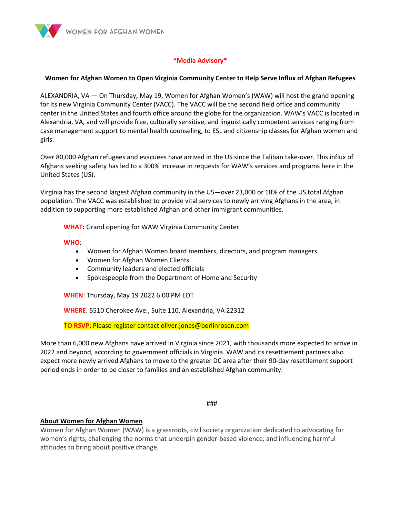

# **\*Media Advisory\***

## **Women for Afghan Women to Open Virginia Community Center to Help Serve Influx of Afghan Refugees**

ALEXANDRIA, VA — On Thursday, May 19, Women for Afghan Women's (WAW) will host the grand opening for its new Virginia Community Center (VACC). The VACC will be the second field office and community center in the United States and fourth office around the globe for the organization. WAW's VACC is located in Alexandria, VA, and will provide free, culturally sensitive, and linguistically competent services ranging from case management support to mental health counseling, to ESL and citizenship classes for Afghan women and girls.

Over 80,000 Afghan refugees and evacuees have arrived in the US since the Taliban take-over. This influx of Afghans seeking safety has led to a 300% increase in requests for WAW's services and programs here in the United States (US).

Virginia has the second largest Afghan community in the US—over 23,000 or 18% of the US total Afghan population. The VACC was established to provide vital services to newly arriving Afghans in the area, in addition to supporting more established Afghan and other immigrant communities.

**WHAT:** Grand opening for WAW Virginia Community Center

## **WHO**:

- Women for Afghan Women board members, directors, and program managers
- Women for Afghan Women Clients
- Community leaders and elected officials
- Spokespeople from the Department of Homeland Security

**WHEN**: Thursday, May 19 2022 6:00 PM EDT

**WHERE**: 5510 Cherokee Ave., Suite 110, Alexandria, VA 22312

**TO RSVP**: Please register contact oliver.jones@berlinrosen.com

More than 6,000 new Afghans have arrived in Virginia since 2021, with thousands more expected to arrive in 2022 and beyond, according to government officials in Virginia. WAW and its resettlement partners also expect more newly arrived Afghans to move to the greater DC area after their 90-day resettlement support period ends in order to be closer to families and an established Afghan community.

#### ###

## **About Women for Afghan Women**

Women for Afghan Women (WAW) is a grassroots, civil society organization dedicated to advocating for women's rights, challenging the norms that underpin gender-based violence, and influencing harmful attitudes to bring about positive change.